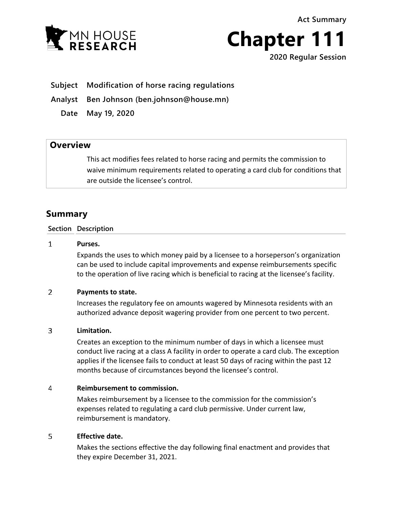**Act Summary**



**Chapter 111**

**2020 Regular Session**

**Subject Modification of horse racing regulations**

**Analyst Ben Johnson (ben.johnson@house.mn)**

**Date May 19, 2020**

## **Overview**

This act modifies fees related to horse racing and permits the commission to waive minimum requirements related to operating a card club for conditions that are outside the licensee's control.

# **Summary**

### **Section Description**

#### $\mathbf{1}$ **Purses.**

Expands the uses to which money paid by a licensee to a horseperson's organization can be used to include capital improvements and expense reimbursements specific to the operation of live racing which is beneficial to racing at the licensee's facility.

#### $\overline{2}$ **Payments to state.**

Increases the regulatory fee on amounts wagered by Minnesota residents with an authorized advance deposit wagering provider from one percent to two percent.

#### $\overline{3}$ **Limitation.**

Creates an exception to the minimum number of days in which a licensee must conduct live racing at a class A facility in order to operate a card club. The exception applies if the licensee fails to conduct at least 50 days of racing within the past 12 months because of circumstances beyond the licensee's control.

#### 4 **Reimbursement to commission.**

Makes reimbursement by a licensee to the commission for the commission's expenses related to regulating a card club permissive. Under current law, reimbursement is mandatory.

#### 5 **Effective date.**

Makes the sections effective the day following final enactment and provides that they expire December 31, 2021.